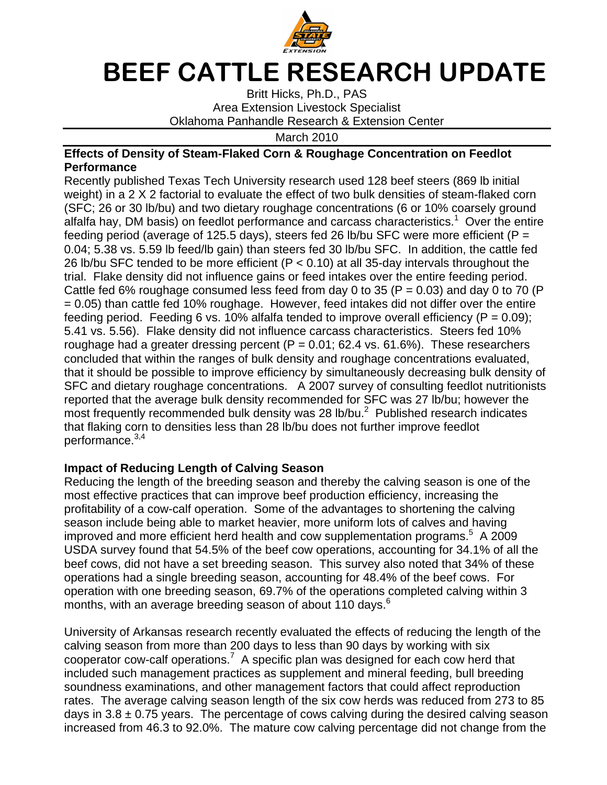

## BEEF CATTLE RESEARCH UPDATE

Britt Hicks, Ph.D., PAS Area Extension Livestock Specialist Oklahoma Panhandle Research & Extension Center

March 2010

## **Effects of Density of Steam-Flaked Corn & Roughage Concentration on Feedlot Performance**

Recently published Texas Tech University research used 128 beef steers (869 lb initial weight) in a 2 X 2 factorial to evaluate the effect of two bulk densities of steam-flaked corn (SFC; 26 or 30 lb/bu) and two dietary roughage concentrations (6 or 10% coarsely ground alfalfa hay, DM basis) on feedlot performance and carcass characteristics.<sup>1</sup> Over the entire feeding period (average of 125.5 days), steers fed 26 lb/bu SFC were more efficient ( $P =$ 0.04; 5.38 vs. 5.59 lb feed/lb gain) than steers fed 30 lb/bu SFC. In addition, the cattle fed 26 lb/bu SFC tended to be more efficient ( $P < 0.10$ ) at all 35-day intervals throughout the trial. Flake density did not influence gains or feed intakes over the entire feeding period. Cattle fed 6% roughage consumed less feed from day 0 to 35 ( $P = 0.03$ ) and day 0 to 70 ( $P$ = 0.05) than cattle fed 10% roughage. However, feed intakes did not differ over the entire feeding period. Feeding 6 vs. 10% alfalfa tended to improve overall efficiency ( $P = 0.09$ ); 5.41 vs. 5.56). Flake density did not influence carcass characteristics. Steers fed 10% roughage had a greater dressing percent ( $P = 0.01$ ; 62.4 vs. 61.6%). These researchers concluded that within the ranges of bulk density and roughage concentrations evaluated, that it should be possible to improve efficiency by simultaneously decreasing bulk density of SFC and dietary roughage concentrations. A 2007 survey of consulting feedlot nutritionists reported that the average bulk density recommended for SFC was 27 lb/bu; however the most frequently recommended bulk density was 28 lb/bu. $^2$  Published research indicates that flaking corn to densities less than 28 lb/bu does not further improve feedlot performance.<sup>3,4</sup>

## **Impact of Reducing Length of Calving Season**

Reducing the length of the breeding season and thereby the calving season is one of the most effective practices that can improve beef production efficiency, increasing the profitability of a cow-calf operation. Some of the advantages to shortening the calving season include being able to market heavier, more uniform lots of calves and having improved and more efficient herd health and cow supplementation programs.<sup>5</sup> A 2009 USDA survey found that 54.5% of the beef cow operations, accounting for 34.1% of all the beef cows, did not have a set breeding season. This survey also noted that 34% of these operations had a single breeding season, accounting for 48.4% of the beef cows. For operation with one breeding season, 69.7% of the operations completed calving within 3 months, with an average breeding season of about 110 days.<sup>6</sup>

University of Arkansas research recently evaluated the effects of reducing the length of the calving season from more than 200 days to less than 90 days by working with six  $\frac{1}{2}$  cooperator cow-calf operations.<sup>7</sup> A specific plan was designed for each cow herd that included such management practices as supplement and mineral feeding, bull breeding soundness examinations, and other management factors that could affect reproduction rates. The average calving season length of the six cow herds was reduced from 273 to 85 days in  $3.8 \pm 0.75$  years. The percentage of cows calving during the desired calving season increased from 46.3 to 92.0%. The mature cow calving percentage did not change from the